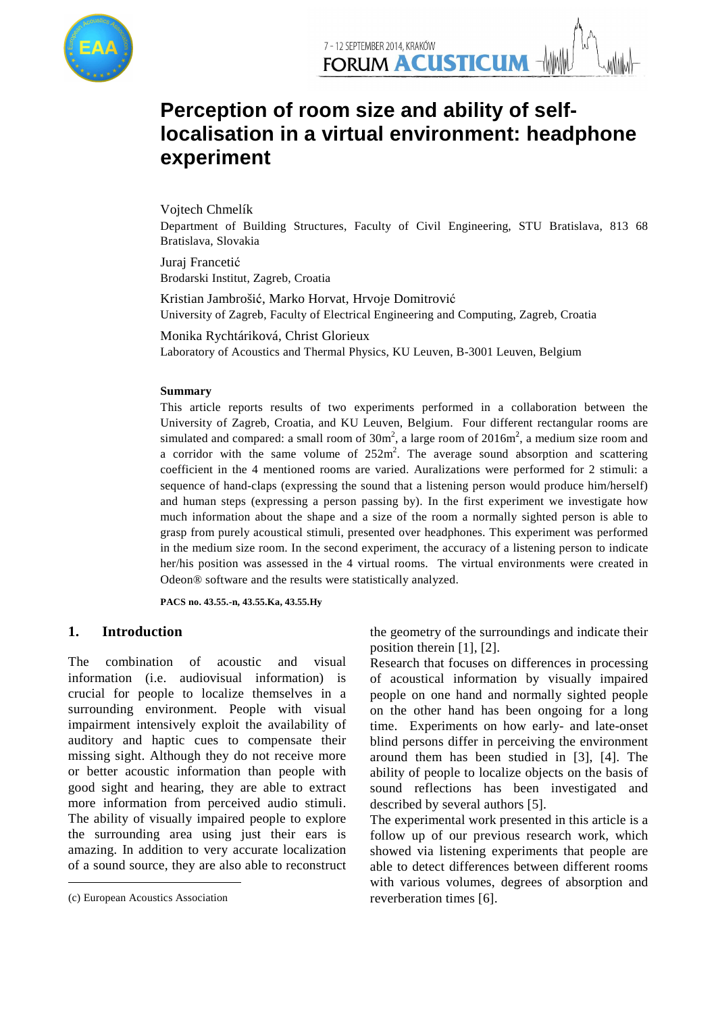

# Perception of room size and ability of self**localisation in a virtual environment: headphone experiment**

Vojtech Chmelík

Department of Building Structures, Faculty of Civil Engineering, STU Bratislava, 813 68 Bratislava, Slovakia

Juraj Francetić Brodarski Institut, Zagreb, Croatia

Kristian Jambrošić , Marko Horvat, Hrvoje Domitrović University of Zagreb, Faculty of Electrical Engineering and Computing, Zagreb, Croatia

Monika Rychtáriková Rychtáriková, Christ Glorieux Laboratory of Acoustics and Thermal Physics, KU Leuven, B B-3001 Leuven, Belgium University of Zagreb, Faculty of Electrical Engineering and Computing, Zagreb, Croatia<br>Monika Rychtáriková, Christ Glorieux<br>Laboratory of Acoustics and Thermal Physics, KU Leuven, B-3001 Leuven, Belgium<br>Summary

#### **Summary**

University of Zagreb, Croatia, and KU Leuven, Belgium. Four different rectangular rooms are simulated and compared: a small room of  $30m^2$ , a large room of  $2016m^2$ , a medium size room and a corridor with the same volume of  $252m^2$ . The average sound absorption and scattering coefficient in the 4 mentioned rooms are varied. Auralizations were performed for 2 stimuli: a sequence of hand-claps (expressing the sound that a listening person would produce him/herself) and human steps (expressing a person passing by). In the first experiment we investigate how much information about the shape and a size of the room a normally sighted person is able to grasp from purely acoustical stimuli, presented over headphones. This experiment was performed in the medium size room. In the second experiment, the accuracy of a listening person to indicate her/his position was assessed in the 4 virtual rooms. The virtual environments were created in Odeon® software and the results were statistically analyzed.

**PACS no. 43.55.-n, 43.55. 55.Ka, 43.55.Hy** 

# **1. Introduction<sup>1</sup>**

The combination of acoustic and visual information (i.e. audiovisual information) is crucial for people to localize themselves in a surrounding environment. People with visual impairment intensively exploit the availability of auditory and haptic cues to compensate missing sight. Although they do not receive more or better acoustic information than people with good sight and hearing, they are able to extract good sight and hearing, they are able to extract<br>more information from perceived audio stimuli. The ability of visually impaired people to explore the surrounding area using just their ears is amazing. In addition to very accurate localization of a sound source, they are also able to reconstruct . People with visual<br>ploit the availability of<br>s to compensate their

 $\overline{a}$ 

the geometry of the surroundings and indicate their position therein [1], [2].

Research that focuses on differences in processing of acoustical information by visually impaired people on one hand and normally sighted people on the other hand has been ongoing for a long time. Experiments on how early- and late-onset blind persons differ in perceiving the environment around them has been studied in [3], [4]. The ability of people to localize objects on the basis of sound reflections has been investigated and described by several authors [ [5].

The experimental work presented in this article is a follow up of our previous research work, which showed via listening experiments that people are able to detect differences between different rooms with various volumes, degrees of absorption and reverberation times [6].

<sup>1</sup> (c) European Acoustics Association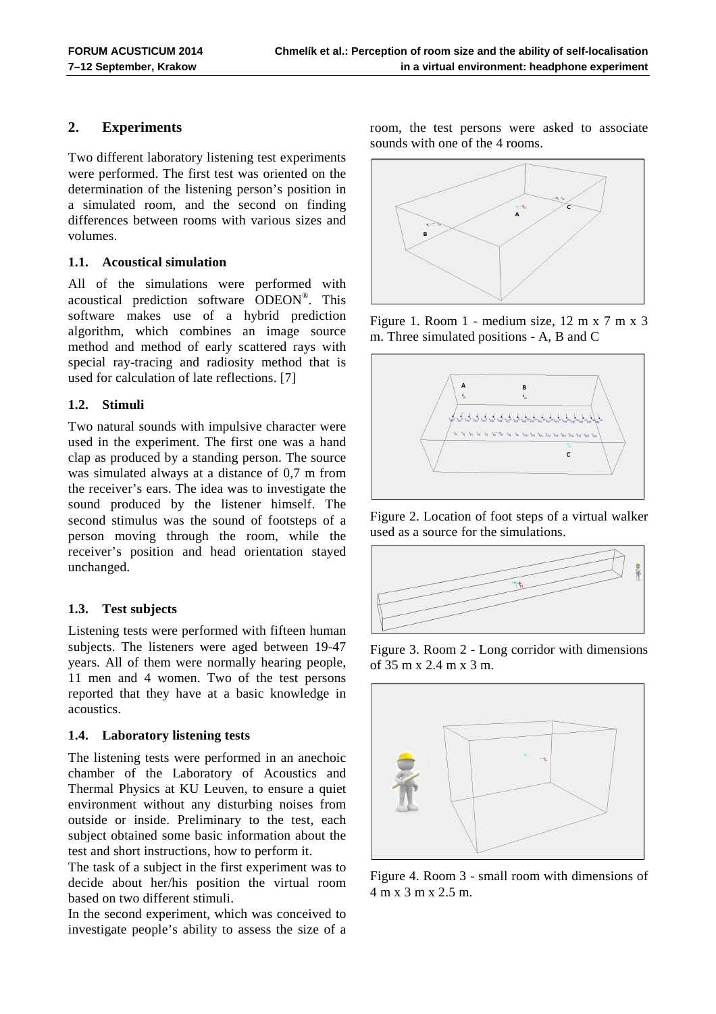# **2. Experiments**

Two different laboratory listening test experiments were performed. The first test was oriented on the determination of the listening person's position in a simulated room, and the second on finding differences between rooms with various sizes and volumes.

#### **1.1. Acoustical simulation**

All of the simulations were performed with acoustical prediction software ODEON® . This software makes use of a hybrid prediction algorithm, which combines an image source method and method of early scattered rays with special ray-tracing and radiosity method that is used for calculation of late reflections. [7]

#### **1.2. Stimuli**

Two natural sounds with impulsive character were used in the experiment. The first one was a hand clap as produced by a standing person. The source was simulated always at a distance of 0,7 m from the receiver's ears. The idea was to investigate the sound produced by the listener himself. The second stimulus was the sound of footsteps of a person moving through the room, while the receiver's position and head orientation stayed unchanged.

# **1.3. Test subjects**

Listening tests were performed with fifteen human subjects. The listeners were aged between 19-47 years. All of them were normally hearing people, 11 men and 4 women. Two of the test persons reported that they have at a basic knowledge in acoustics.

# **1.4. Laboratory listening tests**

The listening tests were performed in an anechoic chamber of the Laboratory of Acoustics and Thermal Physics at KU Leuven, to ensure a quiet environment without any disturbing noises from outside or inside. Preliminary to the test, each subject obtained some basic information about the test and short instructions, how to perform it.

The task of a subject in the first experiment was to decide about her/his position the virtual room based on two different stimuli.

In the second experiment, which was conceived to investigate people's ability to assess the size of a room, the test persons were asked to associate sounds with one of the 4 rooms.



Figure 1. Room 1 - medium size, 12 m x 7 m x 3 m. Three simulated positions - A, B and C



Figure 2. Location of foot steps of a virtual walker used as a source for the simulations.



Figure 3. Room 2 - Long corridor with dimensions of 35 m x 2.4 m x 3 m.



Figure 4. Room 3 - small room with dimensions of 4 m x 3 m x 2.5 m.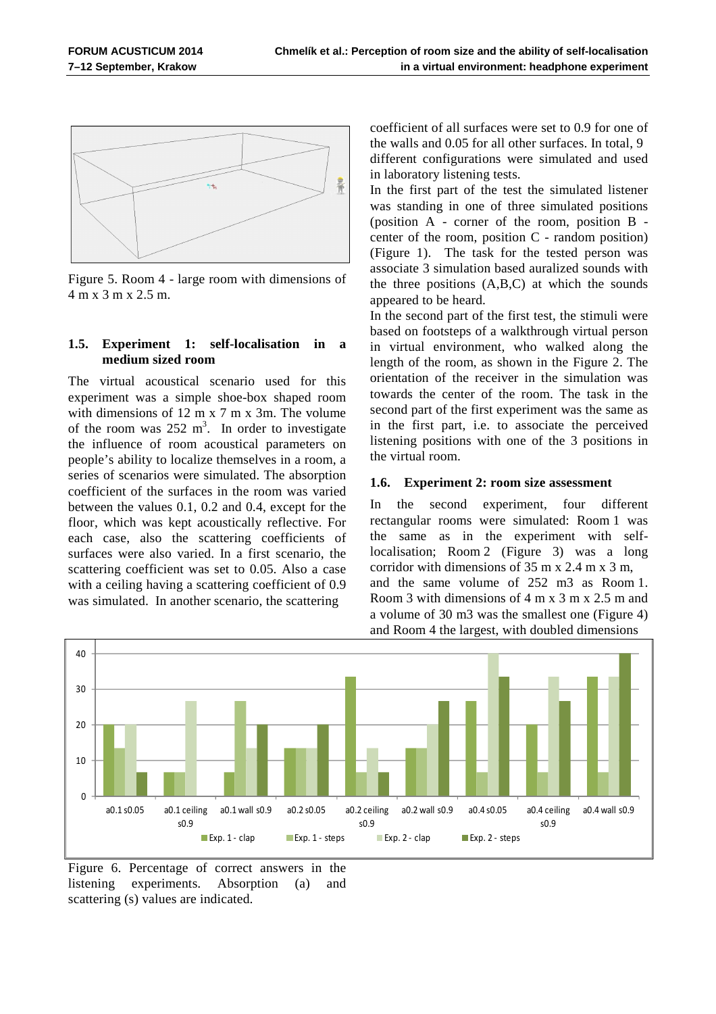$$
\left\lfloor \frac{1}{\alpha} \right\rfloor
$$

Figure 5. Room 4 - large room with dimensions of 4 m x 3 m x 2.5 m.

#### **1.5. Experiment 1: self-localisation in a medium sized room**

The virtual acoustical scenario used for this experiment was a simple shoe-box shaped room with dimensions of 12 m x 7 m x 3m. The volume of the room was  $252 \text{ m}^3$ . In order to investigate the influence of room acoustical parameters on people's ability to localize themselves in a room, a series of scenarios were simulated. The absorption coefficient of the surfaces in the room was varied between the values 0.1, 0.2 and 0.4, except for the floor, which was kept acoustically reflective. For each case, also the scattering coefficients of surfaces were also varied. In a first scenario, the scattering coefficient was set to 0.05. Also a case with a ceiling having a scattering coefficient of 0.9 was simulated. In another scenario, the scattering

coefficient of all surfaces were set to 0.9 for one of the walls and 0.05 for all other surfaces. In total, 9 different configurations were simulated and used in laboratory listening tests.

In the first part of the test the simulated listener was standing in one of three simulated positions (position A - corner of the room, position B center of the room, position C - random position) (Figure 1). The task for the tested person was associate 3 simulation based auralized sounds with the three positions (A,B,C) at which the sounds appeared to be heard.

In the second part of the first test, the stimuli were based on footsteps of a walkthrough virtual person in virtual environment, who walked along the length of the room, as shown in the Figure 2. The orientation of the receiver in the simulation was towards the center of the room. The task in the second part of the first experiment was the same as in the first part, i.e. to associate the perceived listening positions with one of the 3 positions in the virtual room.

#### **1.6. Experiment 2: room size assessment**

In the second experiment, four different rectangular rooms were simulated: Room 1 was the same as in the experiment with selflocalisation; Room 2 (Figure 3) was a long corridor with dimensions of 35 m x 2.4 m x 3 m, and the same volume of 252 m3 as Room 1. Room 3 with dimensions of 4 m x 3 m x 2.5 m and a volume of 30 m3 was the smallest one (Figure 4) and Room 4 the largest, with doubled dimensions



Figure 6. Percentage of correct answers in the listening experiments. Absorption (a) and scattering (s) values are indicated.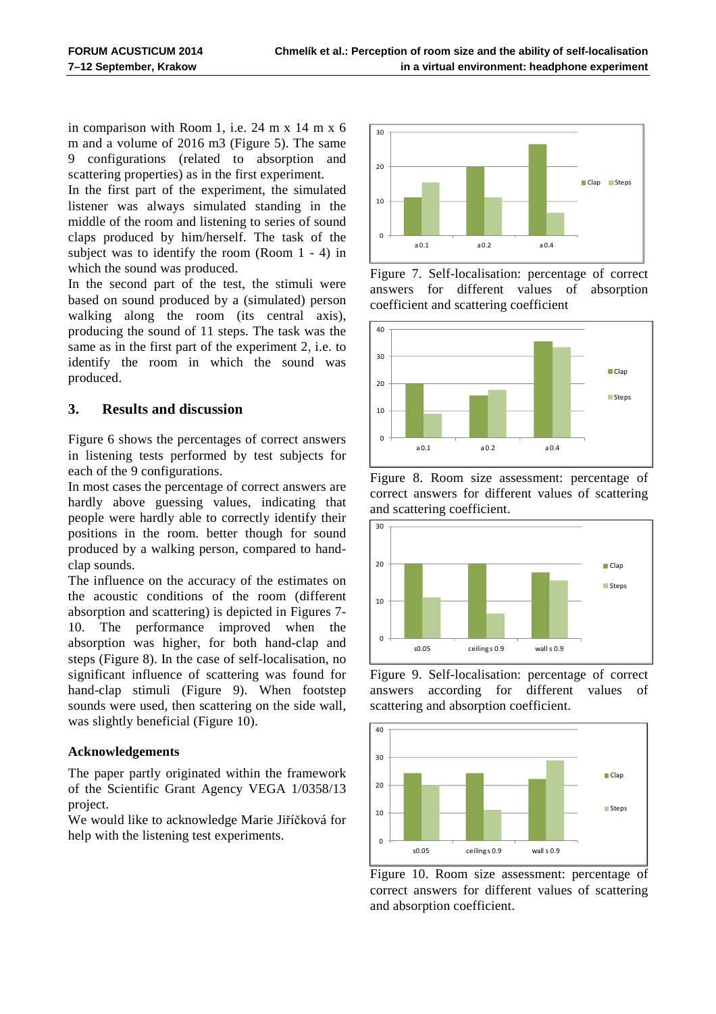in comparison with Room 1, i.e. 24 m x 14 m x 6 m and a volume of 2016 m3 (Figure 5). The same 9 configurations (related to absorption and scattering properties) as in the first experiment.

In the first part of the experiment, the simulated listener was always simulated standing in the middle of the room and listening to series of sound claps produced by him/herself. The task of the subject was to identify the room (Room 1 - 4) in which the sound was produced.

In the second part of the test, the stimuli were based on sound produced by a (simulated) person walking along the room (its central axis), producing the sound of 11 steps. The task was the same as in the first part of the experiment 2, i.e. to identify the room in which the sound was produced.

# **3. Results and discussion**

Figure 6 shows the percentages of correct answers in listening tests performed by test subjects for each of the 9 configurations.

In most cases the percentage of correct answers are hardly above guessing values, indicating that people were hardly able to correctly identify their positions in the room. better though for sound produced by a walking person, compared to handclap sounds.

The influence on the accuracy of the estimates on the acoustic conditions of the room (different absorption and scattering) is depicted in Figures 7- 10. The performance improved when the absorption was higher, for both hand-clap and steps (Figure 8). In the case of self-localisation, no significant influence of scattering was found for hand-clap stimuli (Figure 9). When footstep sounds were used, then scattering on the side wall, was slightly beneficial (Figure 10).

# **Acknowledgements**

The paper partly originated within the framework of the Scientific Grant Agency VEGA 1/0358/13 project.

We would like to acknowledge Marie Jiříčková for help with the listening test experiments.



Figure 7. Self-localisation: percentage of correct answers for different values of absorption coefficient and scattering coefficient



Figure 8. Room size assessment: percentage of correct answers for different values of scattering and scattering coefficient.



Figure 9. Self-localisation: percentage of correct answers according for different values of scattering and absorption coefficient.



Figure 10. Room size assessment: percentage of correct answers for different values of scattering and absorption coefficient.